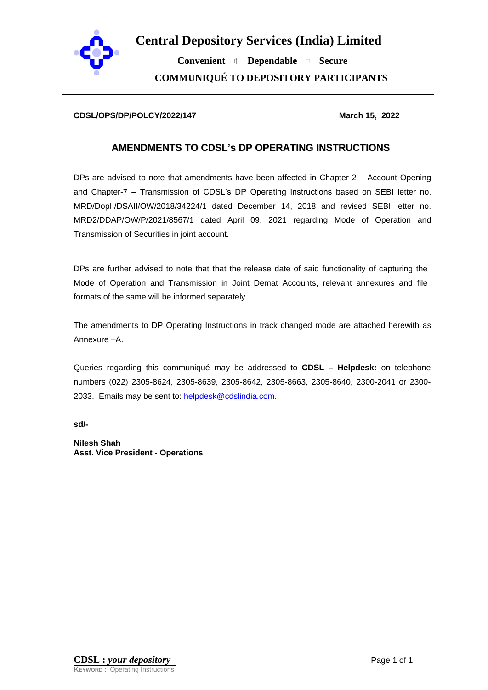

**Central Depository Services (India) Limited**

 **Convenient Dependable Secure COMMUNIQUÉ TO DEPOSITORY PARTICIPANTS**

## **CDSL/OPS/DP/POLCY/2022/147** March 15, 2022

## **AMENDMENTS TO CDSL's DP OPERATING INSTRUCTIONS**

DPs are advised to note that amendments have been affected in Chapter 2 – Account Opening and Chapter-7 – Transmission of CDSL's DP Operating Instructions based on SEBI letter no. MRD/DopII/DSAII/OW/2018/34224/1 dated December 14, 2018 and revised SEBI letter no. MRD2/DDAP/OW/P/2021/8567/1 dated April 09, 2021 regarding Mode of Operation and Transmission of Securities in joint account.

DPs are further advised to note that that the release date of said functionality of capturing the Mode of Operation and Transmission in Joint Demat Accounts, relevant annexures and file formats of the same will be informed separately.

The amendments to DP Operating Instructions in track changed mode are attached herewith as Annexure –A.

Queries regarding this communiqué may be addressed to **CDSL – Helpdesk:** on telephone numbers (022) 2305-8624, 2305-8639, 2305-8642, 2305-8663, 2305-8640, 2300-2041 or 2300- 2033. Emails may be sent to: [helpdesk@cdslindia.com.](mailto:helpdesk@cdslindia.com)

**sd/-**

**Nilesh Shah Asst. Vice President - Operations**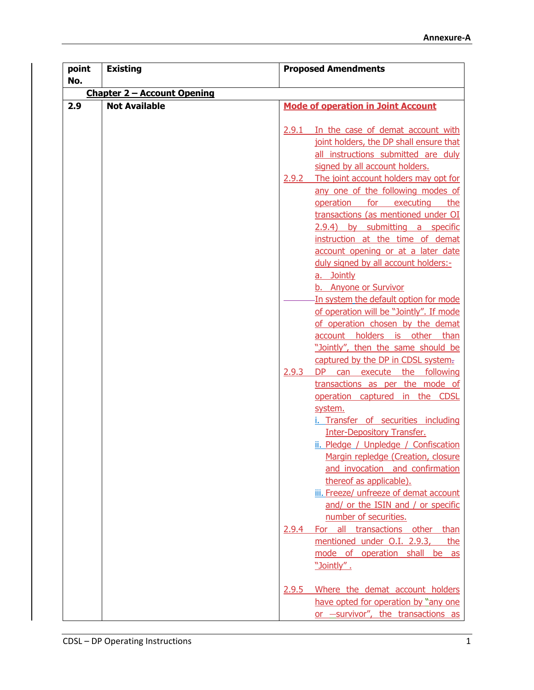| point<br>No. | <b>Existing</b>                    | <b>Proposed Amendments</b>                         |  |
|--------------|------------------------------------|----------------------------------------------------|--|
|              | <b>Chapter 2 - Account Opening</b> |                                                    |  |
| 2.9          | <b>Not Available</b>               | <b>Mode of operation in Joint Account</b>          |  |
|              |                                    |                                                    |  |
|              |                                    | In the case of demat account with<br>2.9.1         |  |
|              |                                    | joint holders, the DP shall ensure that            |  |
|              |                                    | all instructions submitted are duly                |  |
|              |                                    | signed by all account holders.                     |  |
|              |                                    | The joint account holders may opt for<br>2.9.2     |  |
|              |                                    | any one of the following modes of                  |  |
|              |                                    | operation for executing the                        |  |
|              |                                    | transactions (as mentioned under OI                |  |
|              |                                    | 2.9.4) by submitting a specific                    |  |
|              |                                    | instruction at the time of demat                   |  |
|              |                                    | account opening or at a later date                 |  |
|              |                                    | duly signed by all account holders:-<br>a. Jointly |  |
|              |                                    | b. Anyone or Survivor                              |  |
|              |                                    | In system the default option for mode              |  |
|              |                                    | of operation will be "Jointly". If mode            |  |
|              |                                    | of operation chosen by the demat                   |  |
|              |                                    | account holders is other than                      |  |
|              |                                    | "Jointly", then the same should be                 |  |
|              |                                    | captured by the DP in CDSL system.                 |  |
|              |                                    | DP can execute the following<br>2.9.3              |  |
|              |                                    | transactions as per the mode of                    |  |
|              |                                    | operation captured in the CDSL                     |  |
|              |                                    | system.<br>i. Transfer of securities including     |  |
|              |                                    | <b>Inter-Depository Transfer.</b>                  |  |
|              |                                    | ii. Pledge / Unpledge / Confiscation               |  |
|              |                                    | Margin repledge (Creation, closure                 |  |
|              |                                    | and invocation and confirmation                    |  |
|              |                                    | thereof as applicable).                            |  |
|              |                                    | iii. Freeze/ unfreeze of demat account             |  |
|              |                                    | and/ or the ISIN and / or specific                 |  |
|              |                                    | number of securities.                              |  |
|              |                                    | all transactions other than<br>2.9.4<br>For        |  |
|              |                                    | mentioned under O.I. 2.9.3,<br>the                 |  |
|              |                                    | mode of operation shall be as                      |  |
|              |                                    | "Jointly".                                         |  |
|              |                                    | Where the demat account holders<br>2.9.5           |  |
|              |                                    | have opted for operation by "any one               |  |
|              |                                    | or -survivor", the transactions as                 |  |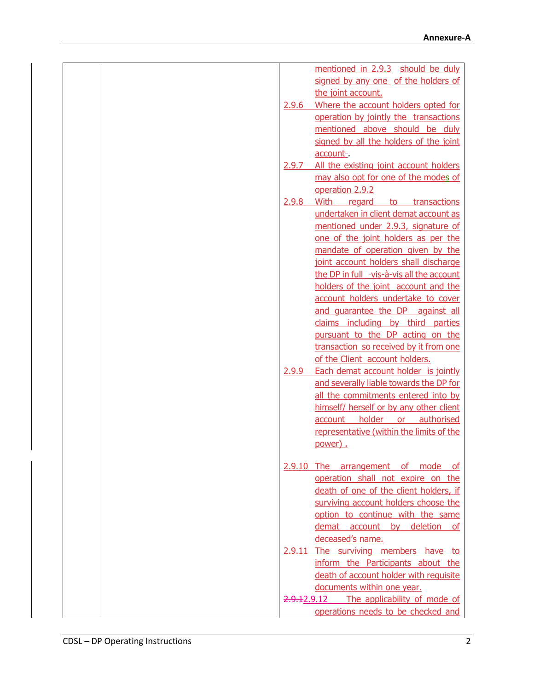| mentioned in 2.9.3 should be duly               |
|-------------------------------------------------|
| signed by any one of the holders of             |
| the joint account.                              |
| Where the account holders opted for<br>2.9.6    |
| operation by jointly the transactions           |
| mentioned above should be duly                  |
| signed by all the holders of the joint          |
| account-                                        |
| All the existing joint account holders<br>2.9.7 |
| may also opt for one of the modes of            |
| operation 2.9.2                                 |
| 2.9.8<br>With regard to transactions            |
| undertaken in client demat account as           |
| mentioned under 2.9.3, signature of             |
| one of the joint holders as per the             |
| mandate of operation given by the               |
| joint account holders shall discharge           |
| the DP in full -vis-à-vis all the account       |
| holders of the joint account and the            |
| account holders undertake to cover              |
| and quarantee the DP against all                |
| claims including by third parties               |
| pursuant to the DP acting on the                |
| transaction so received by it from one          |
| of the Client account holders.                  |
| Each demat account holder is jointly<br>2.9.9   |
| and severally liable towards the DP for         |
| all the commitments entered into by             |
| himself/ herself or by any other client         |
| account holder or authorised                    |
| representative (within the limits of the        |
| power).                                         |
| 2.9.10 The arrangement of mode of               |
| operation shall not expire on the               |
| death of one of the client holders, if          |
| surviving account holders choose the            |
| option to continue with the same                |
| demat account by deletion of                    |
| deceased's name.                                |
| 2.9.11 The surviving members have to            |
| inform the Participants about the               |
| death of account holder with requisite          |
| documents within one year.                      |
| 2.9.12.9.12 The applicability of mode of        |
| operations needs to be checked and              |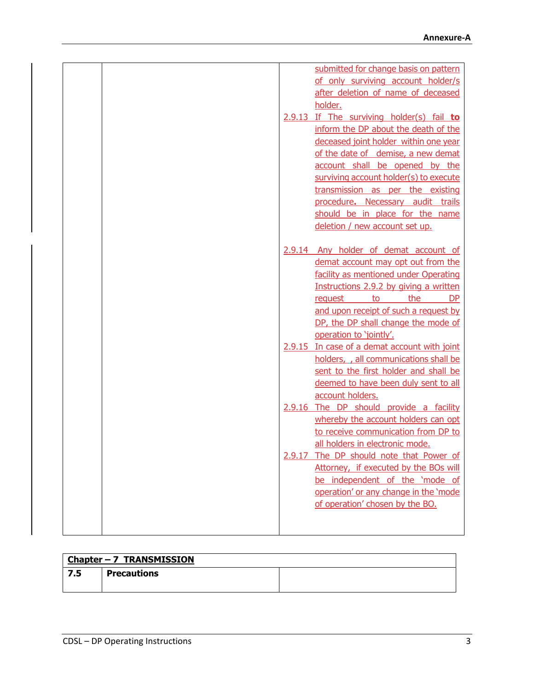|  |  | submitted for change basis on pattern        |
|--|--|----------------------------------------------|
|  |  | of only surviving account holder/s           |
|  |  | after deletion of name of deceased           |
|  |  | holder.                                      |
|  |  | 2.9.13 If The surviving holder(s) fail to    |
|  |  | inform the DP about the death of the         |
|  |  | deceased joint holder within one year        |
|  |  | of the date of demise, a new demat           |
|  |  | account shall be opened by the               |
|  |  | surviving account holder(s) to execute       |
|  |  | transmission as per the existing             |
|  |  | procedure. Necessary audit trails            |
|  |  | should be in place for the name              |
|  |  | deletion / new account set up.               |
|  |  |                                              |
|  |  | 2.9.14 Any holder of demat account of        |
|  |  | demat account may opt out from the           |
|  |  | facility as mentioned under Operating        |
|  |  | Instructions 2.9.2 by giving a written       |
|  |  | the<br>to<br><b>DP</b><br>request            |
|  |  | and upon receipt of such a request by        |
|  |  | DP, the DP shall change the mode of          |
|  |  | operation to 'jointly'.                      |
|  |  | 2.9.15 In case of a demat account with joint |
|  |  |                                              |
|  |  | holders, , all communications shall be       |
|  |  | sent to the first holder and shall be        |
|  |  | deemed to have been duly sent to all         |
|  |  | account holders.                             |
|  |  | 2.9.16 The DP should provide a facility      |
|  |  | whereby the account holders can opt          |
|  |  | to receive communication from DP to          |
|  |  | all holders in electronic mode.              |
|  |  | 2.9.17 The DP should note that Power of      |
|  |  | Attorney, if executed by the BOs will        |
|  |  | be independent of the 'mode of               |
|  |  | operation' or any change in the 'mode        |
|  |  | of operation' chosen by the BO.              |
|  |  |                                              |
|  |  |                                              |

| Chapter $-7$ TRANSMISSION |  |
|---------------------------|--|
|                           |  |

| 7 E<br>7.5 | <b>Precautions</b> |  |
|------------|--------------------|--|
|            |                    |  |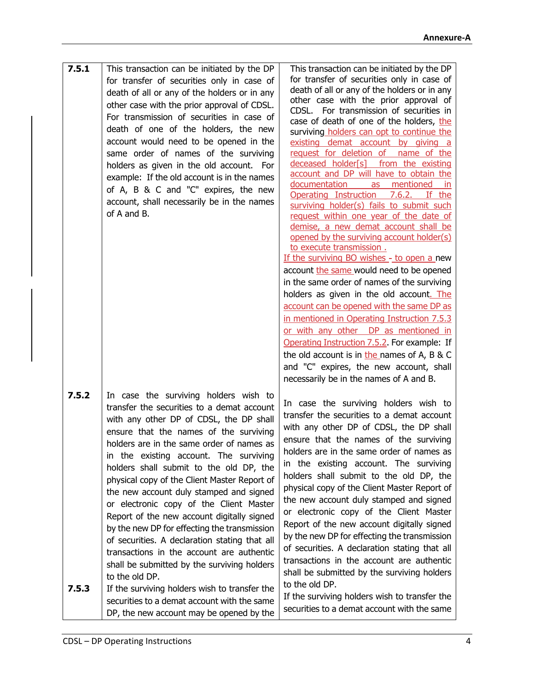| 7.5.1 | This transaction can be initiated by the DP                                         | This transaction can be initiated by the DP                                            |
|-------|-------------------------------------------------------------------------------------|----------------------------------------------------------------------------------------|
|       | for transfer of securities only in case of                                          | for transfer of securities only in case of                                             |
|       | death of all or any of the holders or in any                                        | death of all or any of the holders or in any                                           |
|       | other case with the prior approval of CDSL.                                         | other case with the prior approval of                                                  |
|       | For transmission of securities in case of                                           | For transmission of securities in<br>CDSL.<br>case of death of one of the holders, the |
|       | death of one of the holders, the new                                                | surviving holders can opt to continue the                                              |
|       | account would need to be opened in the                                              | existing demat account by giving a                                                     |
|       | same order of names of the surviving                                                | request for deletion of<br>name of the                                                 |
|       | holders as given in the old account. For                                            | deceased holder[s]<br>from the existing                                                |
|       | example: If the old account is in the names                                         | account and DP will have to obtain the                                                 |
|       | of A, B & C and "C" expires, the new                                                | mentioned<br>documentation<br>as                                                       |
|       | account, shall necessarily be in the names                                          | Operating Instruction<br>7.6.2.<br>If the                                              |
|       | of A and B.                                                                         | surviving holder(s) fails to submit such                                               |
|       |                                                                                     | request within one year of the date of<br>demise, a new demat account shall be         |
|       |                                                                                     | opened by the surviving account holder(s)                                              |
|       |                                                                                     | to execute transmission.                                                               |
|       |                                                                                     | If the surviving BO wishes - to open a new                                             |
|       |                                                                                     | account the same would need to be opened                                               |
|       |                                                                                     | in the same order of names of the surviving                                            |
|       |                                                                                     | holders as given in the old account. The                                               |
|       |                                                                                     | account can be opened with the same DP as                                              |
|       |                                                                                     | in mentioned in Operating Instruction 7.5.3                                            |
|       |                                                                                     | or with any other DP as mentioned in                                                   |
|       |                                                                                     | Operating Instruction 7.5.2. For example: If                                           |
|       |                                                                                     | the old account is in the names of A, B & C                                            |
|       |                                                                                     | and "C" expires, the new account, shall                                                |
|       |                                                                                     | necessarily be in the names of A and B.                                                |
| 7.5.2 | In case the surviving holders wish to                                               |                                                                                        |
|       | transfer the securities to a demat account                                          | In case the surviving holders wish to                                                  |
|       |                                                                                     | transfer the securities to a demat account                                             |
|       | with any other DP of CDSL, the DP shall                                             | with any other DP of CDSL, the DP shall                                                |
|       | ensure that the names of the surviving<br>holders are in the same order of names as | ensure that the names of the surviving                                                 |
|       |                                                                                     | holders are in the same order of names as                                              |
|       | in the existing account. The surviving                                              | in the existing account. The surviving                                                 |
|       | holders shall submit to the old DP, the                                             | holders shall submit to the old DP, the                                                |
|       | physical copy of the Client Master Report of                                        | physical copy of the Client Master Report of                                           |
|       | the new account duly stamped and signed                                             | the new account duly stamped and signed                                                |
|       | or electronic copy of the Client Master                                             | or electronic copy of the Client Master                                                |
|       | Report of the new account digitally signed                                          | Report of the new account digitally signed                                             |
|       | by the new DP for effecting the transmission                                        | by the new DP for effecting the transmission                                           |
|       | of securities. A declaration stating that all                                       | of securities. A declaration stating that all                                          |
|       | transactions in the account are authentic                                           | transactions in the account are authentic                                              |
|       | shall be submitted by the surviving holders                                         | shall be submitted by the surviving holders                                            |
|       | to the old DP.                                                                      | to the old DP.                                                                         |
| 7.5.3 | If the surviving holders wish to transfer the                                       | If the surviving holders wish to transfer the                                          |
|       | securities to a demat account with the same                                         | securities to a demat account with the same                                            |
|       | DP, the new account may be opened by the                                            |                                                                                        |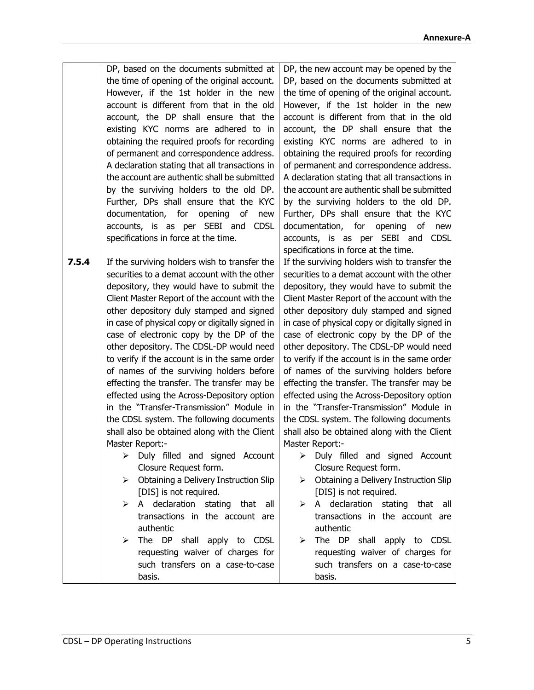**7.5.4** DP, based on the documents submitted at the time of opening of the original account. However, if the 1st holder in the new account is different from that in the old account, the DP shall ensure that the existing KYC norms are adhered to in obtaining the required proofs for recording of permanent and correspondence address. A declaration stating that all transactions in the account are authentic shall be submitted by the surviving holders to the old DP. Further, DPs shall ensure that the KYC documentation, for opening of new accounts, is as per SEBI and CDSL specifications in force at the time. If the surviving holders wish to transfer the securities to a demat account with the other DP, the new account may be opened by the

depository, they would have to submit the Client Master Report of the account with the other depository duly stamped and signed in case of physical copy or digitally signed in case of electronic copy by the DP of the other depository. The CDSL-DP would need to verify if the account is in the same order of names of the surviving holders before effecting the transfer. The transfer may be effected using the Across-Depository option in the "Transfer-Transmission" Module in the CDSL system. The following documents shall also be obtained along with the Client Master Report:-

- ➢ Duly filled and signed Account Closure Request form.
- ➢ Obtaining a Delivery Instruction Slip [DIS] is not required.
- $\triangleright$  A declaration stating that all transactions in the account are authentic
- ➢ The DP shall apply to CDSL requesting waiver of charges for such transfers on a case-to-case basis.

DP, based on the documents submitted at the time of opening of the original account. However, if the 1st holder in the new account is different from that in the old account, the DP shall ensure that the existing KYC norms are adhered to in obtaining the required proofs for recording of permanent and correspondence address. A declaration stating that all transactions in the account are authentic shall be submitted by the surviving holders to the old DP. Further, DPs shall ensure that the KYC documentation, for opening of new accounts, is as per SEBI and CDSL specifications in force at the time.

If the surviving holders wish to transfer the securities to a demat account with the other depository, they would have to submit the Client Master Report of the account with the other depository duly stamped and signed in case of physical copy or digitally signed in case of electronic copy by the DP of the other depository. The CDSL-DP would need to verify if the account is in the same order of names of the surviving holders before effecting the transfer. The transfer may be effected using the Across-Depository option in the "Transfer-Transmission" Module in the CDSL system. The following documents shall also be obtained along with the Client Master Report:-

- ➢ Duly filled and signed Account Closure Request form.
- ➢ Obtaining a Delivery Instruction Slip [DIS] is not required.
- $\triangleright$  A declaration stating that all transactions in the account are authentic
- ➢ The DP shall apply to CDSL requesting waiver of charges for such transfers on a case-to-case basis.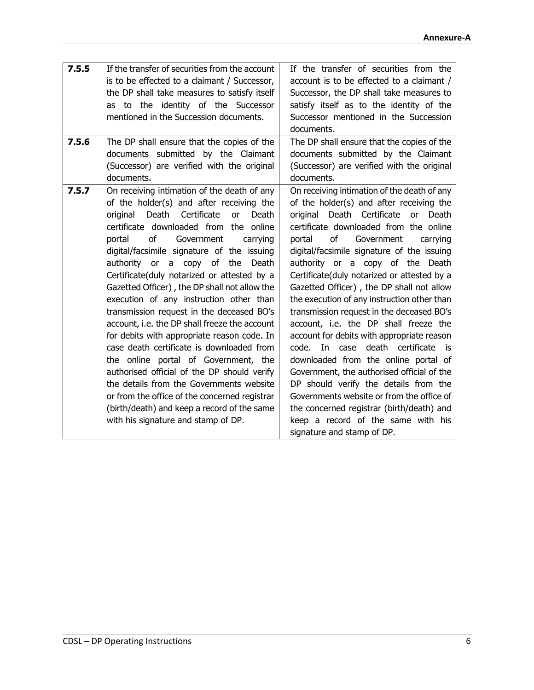| 7.5.5 | If the transfer of securities from the account<br>is to be effected to a claimant / Successor,<br>the DP shall take measures to satisfy itself<br>to the identity of the Successor<br>as<br>mentioned in the Succession documents.                                                                                                                                                                                                                                                                                                                                                                                                                                                                                                                                                                                                                                                                                                 | If the transfer of securities from the<br>account is to be effected to a claimant /<br>Successor, the DP shall take measures to<br>satisfy itself as to the identity of the<br>Successor mentioned in the Succession                                                                                                                                                                                                                                                                                                                                                                                                                                                                                                                                                                                                                                                                                                                     |
|-------|------------------------------------------------------------------------------------------------------------------------------------------------------------------------------------------------------------------------------------------------------------------------------------------------------------------------------------------------------------------------------------------------------------------------------------------------------------------------------------------------------------------------------------------------------------------------------------------------------------------------------------------------------------------------------------------------------------------------------------------------------------------------------------------------------------------------------------------------------------------------------------------------------------------------------------|------------------------------------------------------------------------------------------------------------------------------------------------------------------------------------------------------------------------------------------------------------------------------------------------------------------------------------------------------------------------------------------------------------------------------------------------------------------------------------------------------------------------------------------------------------------------------------------------------------------------------------------------------------------------------------------------------------------------------------------------------------------------------------------------------------------------------------------------------------------------------------------------------------------------------------------|
|       |                                                                                                                                                                                                                                                                                                                                                                                                                                                                                                                                                                                                                                                                                                                                                                                                                                                                                                                                    | documents.                                                                                                                                                                                                                                                                                                                                                                                                                                                                                                                                                                                                                                                                                                                                                                                                                                                                                                                               |
| 7.5.6 | The DP shall ensure that the copies of the<br>documents submitted by the Claimant<br>(Successor) are verified with the original<br>documents.                                                                                                                                                                                                                                                                                                                                                                                                                                                                                                                                                                                                                                                                                                                                                                                      | The DP shall ensure that the copies of the<br>documents submitted by the Claimant<br>(Successor) are verified with the original<br>documents.                                                                                                                                                                                                                                                                                                                                                                                                                                                                                                                                                                                                                                                                                                                                                                                            |
| 7.5.7 | On receiving intimation of the death of any<br>of the holder(s) and after receiving the<br>Death<br>Certificate<br>Death<br>original<br>or<br>certificate downloaded from the online<br>of<br>portal<br>Government<br>carrying<br>digital/facsimile signature of the issuing<br>authority or a copy of the<br>Death<br>Certificate(duly notarized or attested by a<br>Gazetted Officer), the DP shall not allow the<br>execution of any instruction other than<br>transmission request in the deceased BO's<br>account, i.e. the DP shall freeze the account<br>for debits with appropriate reason code. In<br>case death certificate is downloaded from<br>the online portal of Government, the<br>authorised official of the DP should verify<br>the details from the Governments website<br>or from the office of the concerned registrar<br>(birth/death) and keep a record of the same<br>with his signature and stamp of DP. | On receiving intimation of the death of any<br>of the holder(s) and after receiving the<br>Death Certificate<br>or<br>Death<br>original<br>certificate downloaded from the online<br>of<br>portal<br>Government<br>carrying<br>digital/facsimile signature of the issuing<br>authority or a copy of the Death<br>Certificate(duly notarized or attested by a<br>Gazetted Officer), the DP shall not allow<br>the execution of any instruction other than<br>transmission request in the deceased BO's<br>account, i.e. the DP shall freeze the<br>account for debits with appropriate reason<br>code.<br>death certificate<br>In case<br>is<br>downloaded from the online portal of<br>Government, the authorised official of the<br>DP should verify the details from the<br>Governments website or from the office of<br>the concerned registrar (birth/death) and<br>keep a record of the same with his<br>signature and stamp of DP. |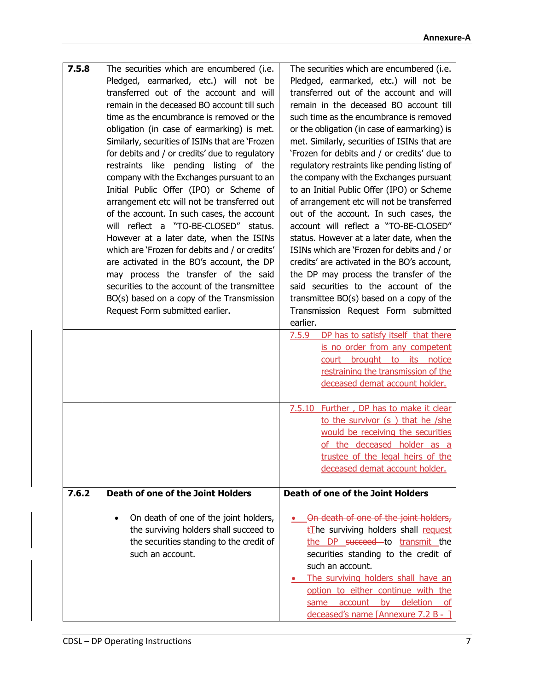| 7.5.8 | The securities which are encumbered (i.e.       | The securities which are encumbered (i.e.          |
|-------|-------------------------------------------------|----------------------------------------------------|
|       | Pledged, earmarked, etc.) will not be           | Pledged, earmarked, etc.) will not be              |
|       | transferred out of the account and will         | transferred out of the account and will            |
|       | remain in the deceased BO account till such     | remain in the deceased BO account till             |
|       | time as the encumbrance is removed or the       | such time as the encumbrance is removed            |
|       | obligation (in case of earmarking) is met.      | or the obligation (in case of earmarking) is       |
|       | Similarly, securities of ISINs that are 'Frozen | met. Similarly, securities of ISINs that are       |
|       |                                                 |                                                    |
|       | for debits and / or credits' due to regulatory  | 'Frozen for debits and / or credits' due to        |
|       | restraints like pending listing of the          | regulatory restraints like pending listing of      |
|       | company with the Exchanges pursuant to an       | the company with the Exchanges pursuant            |
|       | Initial Public Offer (IPO) or Scheme of         | to an Initial Public Offer (IPO) or Scheme         |
|       | arrangement etc will not be transferred out     | of arrangement etc will not be transferred         |
|       | of the account. In such cases, the account      | out of the account. In such cases, the             |
|       | will reflect a "TO-BE-CLOSED" status.           | account will reflect a "TO-BE-CLOSED"              |
|       | However at a later date, when the ISINs         | status. However at a later date, when the          |
|       | which are 'Frozen for debits and / or credits'  | ISINs which are 'Frozen for debits and / or        |
|       | are activated in the BO's account, the DP       | credits' are activated in the BO's account,        |
|       |                                                 | the DP may process the transfer of the             |
|       | may process the transfer of the said            |                                                    |
|       | securities to the account of the transmittee    | said securities to the account of the              |
|       | BO(s) based on a copy of the Transmission       | transmittee $BO(s)$ based on a copy of the         |
|       | Request Form submitted earlier.                 | Transmission Request Form submitted                |
|       |                                                 | earlier.                                           |
|       |                                                 | DP has to satisfy itself that there<br>7.5.9       |
|       |                                                 | is no order from any competent                     |
|       |                                                 | court brought to its notice                        |
|       |                                                 | restraining the transmission of the                |
|       |                                                 | deceased demat account holder.                     |
|       |                                                 |                                                    |
|       |                                                 | 7.5.10 Further, DP has to make it clear            |
|       |                                                 | to the survivor (s) that he /she                   |
|       |                                                 | would be receiving the securities                  |
|       |                                                 | of the deceased holder as a                        |
|       |                                                 | trustee of the legal heirs of the                  |
|       |                                                 | deceased demat account holder.                     |
|       |                                                 |                                                    |
| 7.6.2 | Death of one of the Joint Holders               | Death of one of the Joint Holders                  |
|       |                                                 |                                                    |
|       | On death of one of the joint holders,           | . On death of one of the joint holders,            |
|       | the surviving holders shall succeed to          | <b><i>EThe surviving holders shall request</i></b> |
|       | the securities standing to the credit of        | the DP succeed to transmit the                     |
|       | such an account.                                | securities standing to the credit of               |
|       |                                                 | such an account.                                   |
|       |                                                 |                                                    |
|       |                                                 | The surviving holders shall have an                |
|       |                                                 | option to either continue with the                 |
|       |                                                 | account by deletion<br>same<br>of .                |
|       |                                                 | deceased's name [Annexure $7.2 B - 1$ ]            |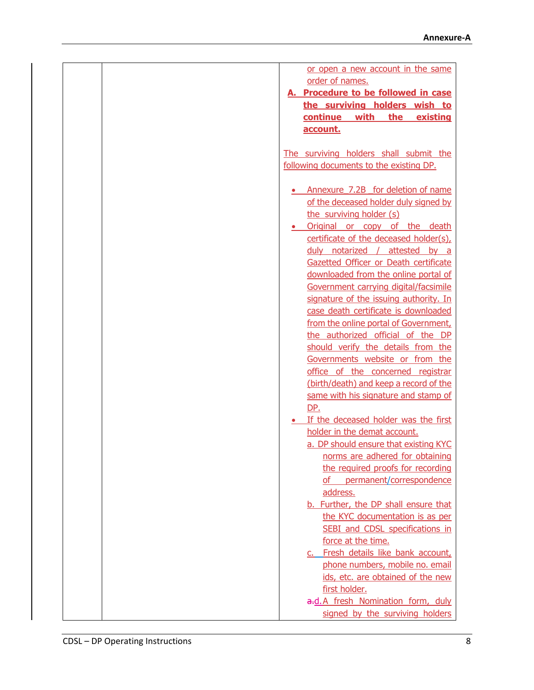| or open a new account in the same       |
|-----------------------------------------|
| order of names.                         |
| A. Procedure to be followed in case     |
| the surviving holders wish to           |
| with<br>continue<br>the<br>existing     |
| account.                                |
|                                         |
| The surviving holders shall submit the  |
| following documents to the existing DP. |
|                                         |
| Annexure 7.2B for deletion of name      |
| of the deceased holder duly signed by   |
| the surviving holder (s)                |
| Original or copy of the death           |
| certificate of the deceased holder(s),  |
| duly notarized /<br>attested by a       |
| Gazetted Officer or Death certificate   |
| downloaded from the online portal of    |
| Government carrying digital/facsimile   |
| signature of the issuing authority. In  |
| case death certificate is downloaded    |
| from the online portal of Government,   |
| the authorized official of the DP       |
| should verify the details from the      |
| Governments website or from the         |
| office of the concerned registrar       |
| (birth/death) and keep a record of the  |
| same with his signature and stamp of    |
| DP.                                     |
| If the deceased holder was the first    |
| holder in the demat account.            |
| a. DP should ensure that existing KYC   |
| norms are adhered for obtaining         |
| the required proofs for recording       |
| permanent/correspondence<br>of          |
| address.                                |
| b. Further, the DP shall ensure that    |
| the KYC documentation is as per         |
| SEBI and CDSL specifications in         |
| force at the time.                      |
| c. Fresh details like bank account,     |
| phone numbers, mobile no. email         |
| ids, etc. are obtained of the new       |
| first holder.                           |
| a.d.A fresh Nomination form, duly       |
| signed by the surviving holders         |
|                                         |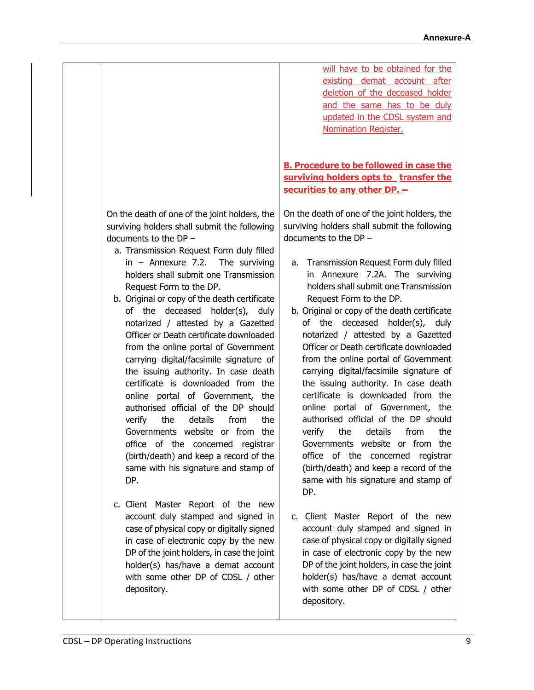On the death of one of the joint holders, the surviving holders shall submit the following documents to the DP –

- a. Transmission Request Form duly filled in – Annexure 7.2. The surviving holders shall submit one Transmission Request Form to the DP.
- b. Original or copy of the death certificate of the deceased holder(s), duly notarized / attested by a Gazetted Officer or Death certificate downloaded from the online portal of Government carrying digital/facsimile signature of the issuing authority. In case death certificate is downloaded from the online portal of Government, the authorised official of the DP should verify the details from the Governments website or from the office of the concerned registrar (birth/death) and keep a record of the same with his signature and stamp of DP.
- c. Client Master Report of the new account duly stamped and signed in case of physical copy or digitally signed in case of electronic copy by the new DP of the joint holders, in case the joint holder(s) has/have a demat account with some other DP of CDSL / other depository.

will have to be obtained for the existing demat account after deletion of the deceased holder and the same has to be duly updated in the CDSL system and Nomination Register.

**B. Procedure to be followed in case the surviving holders opts to transfer the securities to any other DP. –**

On the death of one of the joint holders, the surviving holders shall submit the following documents to the DP –

- a. Transmission Request Form duly filled in Annexure 7.2A. The surviving holders shall submit one Transmission Request Form to the DP.
- b. Original or copy of the death certificate of the deceased holder(s), duly notarized / attested by a Gazetted Officer or Death certificate downloaded from the online portal of Government carrying digital/facsimile signature of the issuing authority. In case death certificate is downloaded from the online portal of Government, the authorised official of the DP should verify the details from the Governments website or from the office of the concerned registrar (birth/death) and keep a record of the same with his signature and stamp of DP.
- c. Client Master Report of the new account duly stamped and signed in case of physical copy or digitally signed in case of electronic copy by the new DP of the joint holders, in case the joint holder(s) has/have a demat account with some other DP of CDSL / other depository.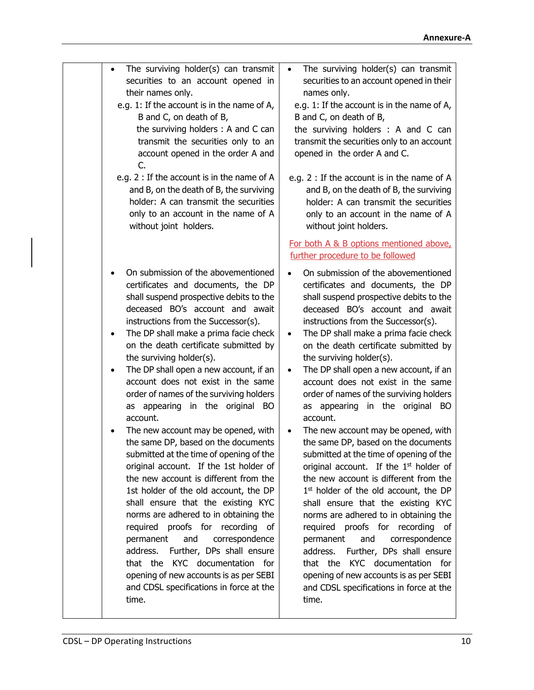| The surviving holder(s) can transmit<br>$\bullet$<br>securities to an account opened in<br>their names only.<br>e.g. 1: If the account is in the name of A,<br>B and C, on death of B,<br>the surviving holders: A and C can<br>transmit the securities only to an<br>account opened in the order A and<br>C.<br>e.g. 2 : If the account is in the name of A                                                                                                                                                                                                                                                                                                                                                                                                                                                                                                                                                                                                                                                                                                                          | The surviving holder(s) can transmit<br>$\bullet$<br>securities to an account opened in their<br>names only.<br>e.g. 1: If the account is in the name of A,<br>B and C, on death of B,<br>the surviving holders : A and C can<br>transmit the securities only to an account<br>opened in the order A and C.<br>e.g. 2 : If the account is in the name of A                                                                                                                                                                                                                                                                                                                                                                                                                                                                                                                                                                                                                                                                                                                                                                                                                          |
|---------------------------------------------------------------------------------------------------------------------------------------------------------------------------------------------------------------------------------------------------------------------------------------------------------------------------------------------------------------------------------------------------------------------------------------------------------------------------------------------------------------------------------------------------------------------------------------------------------------------------------------------------------------------------------------------------------------------------------------------------------------------------------------------------------------------------------------------------------------------------------------------------------------------------------------------------------------------------------------------------------------------------------------------------------------------------------------|-------------------------------------------------------------------------------------------------------------------------------------------------------------------------------------------------------------------------------------------------------------------------------------------------------------------------------------------------------------------------------------------------------------------------------------------------------------------------------------------------------------------------------------------------------------------------------------------------------------------------------------------------------------------------------------------------------------------------------------------------------------------------------------------------------------------------------------------------------------------------------------------------------------------------------------------------------------------------------------------------------------------------------------------------------------------------------------------------------------------------------------------------------------------------------------|
| and B, on the death of B, the surviving<br>holder: A can transmit the securities<br>only to an account in the name of A<br>without joint holders.                                                                                                                                                                                                                                                                                                                                                                                                                                                                                                                                                                                                                                                                                                                                                                                                                                                                                                                                     | and B, on the death of B, the surviving<br>holder: A can transmit the securities<br>only to an account in the name of A<br>without joint holders.<br>For both A & B options mentioned above,                                                                                                                                                                                                                                                                                                                                                                                                                                                                                                                                                                                                                                                                                                                                                                                                                                                                                                                                                                                        |
| On submission of the abovementioned<br>certificates and documents, the DP<br>shall suspend prospective debits to the<br>deceased BO's account and await<br>instructions from the Successor(s).<br>The DP shall make a prima facie check<br>٠<br>on the death certificate submitted by<br>the surviving holder(s).<br>The DP shall open a new account, if an<br>account does not exist in the same<br>order of names of the surviving holders<br>as appearing in the original BO<br>account.<br>The new account may be opened, with<br>the same DP, based on the documents<br>submitted at the time of opening of the<br>original account. If the 1st holder of<br>the new account is different from the<br>1st holder of the old account, the DP<br>shall ensure that the existing KYC<br>norms are adhered to in obtaining the<br>required proofs for recording<br>of<br>and<br>correspondence<br>permanent<br>Further, DPs shall ensure<br>address.<br>that the KYC documentation for<br>opening of new accounts is as per SEBI<br>and CDSL specifications in force at the<br>time. | further procedure to be followed<br>On submission of the abovementioned<br>certificates and documents, the DP<br>shall suspend prospective debits to the<br>deceased BO's account and await<br>instructions from the Successor(s).<br>The DP shall make a prima facie check<br>$\bullet$<br>on the death certificate submitted by<br>the surviving holder(s).<br>The DP shall open a new account, if an<br>$\bullet$<br>account does not exist in the same<br>order of names of the surviving holders<br>as appearing in the original BO<br>account.<br>The new account may be opened, with<br>$\bullet$<br>the same DP, based on the documents<br>submitted at the time of opening of the<br>original account. If the 1 <sup>st</sup> holder of<br>the new account is different from the<br>1 <sup>st</sup> holder of the old account, the DP<br>shall ensure that the existing KYC<br>norms are adhered to in obtaining the<br>required proofs for recording of<br>and<br>permanent<br>correspondence<br>Further, DPs shall ensure<br>address.<br>that the<br>KYC documentation for<br>opening of new accounts is as per SEBI<br>and CDSL specifications in force at the<br>time. |
|                                                                                                                                                                                                                                                                                                                                                                                                                                                                                                                                                                                                                                                                                                                                                                                                                                                                                                                                                                                                                                                                                       |                                                                                                                                                                                                                                                                                                                                                                                                                                                                                                                                                                                                                                                                                                                                                                                                                                                                                                                                                                                                                                                                                                                                                                                     |